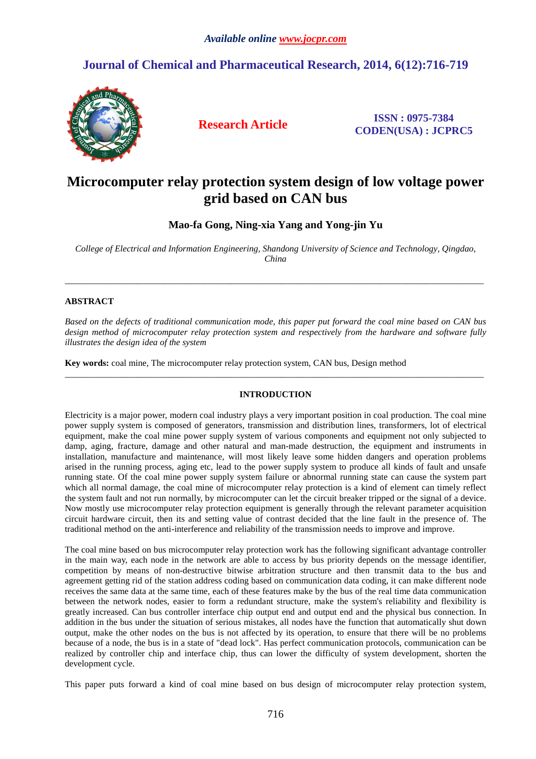# **Journal of Chemical and Pharmaceutical Research, 2014, 6(12):716-719**



**Research Article ISSN : 0975-7384 CODEN(USA) : JCPRC5**

# **Microcomputer relay protection system design of low voltage power grid based on CAN bus**

**Mao-fa Gong, Ning-xia Yang and Yong-jin Yu**

*College of Electrical and Information Engineering, Shandong University of Science and Technology, Qingdao, China* 

\_\_\_\_\_\_\_\_\_\_\_\_\_\_\_\_\_\_\_\_\_\_\_\_\_\_\_\_\_\_\_\_\_\_\_\_\_\_\_\_\_\_\_\_\_\_\_\_\_\_\_\_\_\_\_\_\_\_\_\_\_\_\_\_\_\_\_\_\_\_\_\_\_\_\_\_\_\_\_\_\_\_\_\_\_\_\_\_\_\_\_\_\_

## **ABSTRACT**

*Based on the defects of traditional communication mode, this paper put forward the coal mine based on CAN bus design method of microcomputer relay protection system and respectively from the hardware and software fully illustrates the design idea of the system* 

**Key words:** coal mine, The microcomputer relay protection system, CAN bus, Design method

## **INTRODUCTION**

\_\_\_\_\_\_\_\_\_\_\_\_\_\_\_\_\_\_\_\_\_\_\_\_\_\_\_\_\_\_\_\_\_\_\_\_\_\_\_\_\_\_\_\_\_\_\_\_\_\_\_\_\_\_\_\_\_\_\_\_\_\_\_\_\_\_\_\_\_\_\_\_\_\_\_\_\_\_\_\_\_\_\_\_\_\_\_\_\_\_\_\_\_

Electricity is a major power, modern coal industry plays a very important position in coal production. The coal mine power supply system is composed of generators, transmission and distribution lines, transformers, lot of electrical equipment, make the coal mine power supply system of various components and equipment not only subjected to damp, aging, fracture, damage and other natural and man-made destruction, the equipment and instruments in installation, manufacture and maintenance, will most likely leave some hidden dangers and operation problems arised in the running process, aging etc, lead to the power supply system to produce all kinds of fault and unsafe running state. Of the coal mine power supply system failure or abnormal running state can cause the system part which all normal damage, the coal mine of microcomputer relay protection is a kind of element can timely reflect the system fault and not run normally, by microcomputer can let the circuit breaker tripped or the signal of a device. Now mostly use microcomputer relay protection equipment is generally through the relevant parameter acquisition circuit hardware circuit, then its and setting value of contrast decided that the line fault in the presence of. The traditional method on the anti-interference and reliability of the transmission needs to improve and improve.

The coal mine based on bus microcomputer relay protection work has the following significant advantage controller in the main way, each node in the network are able to access by bus priority depends on the message identifier, competition by means of non-destructive bitwise arbitration structure and then transmit data to the bus and agreement getting rid of the station address coding based on communication data coding, it can make different node receives the same data at the same time, each of these features make by the bus of the real time data communication between the network nodes, easier to form a redundant structure, make the system's reliability and flexibility is greatly increased. Can bus controller interface chip output end and output end and the physical bus connection. In addition in the bus under the situation of serious mistakes, all nodes have the function that automatically shut down output, make the other nodes on the bus is not affected by its operation, to ensure that there will be no problems because of a node, the bus is in a state of "dead lock". Has perfect communication protocols, communication can be realized by controller chip and interface chip, thus can lower the difficulty of system development, shorten the development cycle.

This paper puts forward a kind of coal mine based on bus design of microcomputer relay protection system,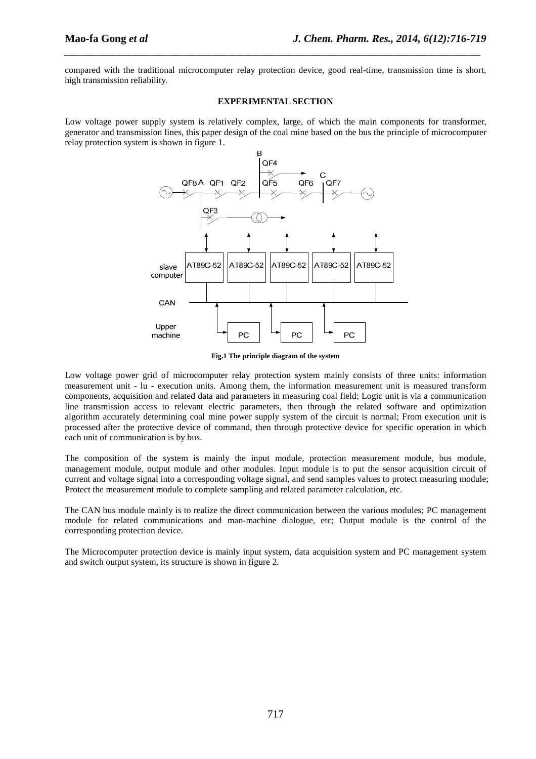compared with the traditional microcomputer relay protection device, good real-time, transmission time is short, high transmission reliability.

*\_\_\_\_\_\_\_\_\_\_\_\_\_\_\_\_\_\_\_\_\_\_\_\_\_\_\_\_\_\_\_\_\_\_\_\_\_\_\_\_\_\_\_\_\_\_\_\_\_\_\_\_\_\_\_\_\_\_\_\_\_\_\_\_\_\_\_\_\_\_\_\_\_\_\_\_\_*

#### **EXPERIMENTAL SECTION**

Low voltage power supply system is relatively complex, large, of which the main components for transformer, generator and transmission lines, this paper design of the coal mine based on the bus the principle of microcomputer relay protection system is shown in figure 1.



**Fig.1 The principle diagram of the system** 

Low voltage power grid of microcomputer relay protection system mainly consists of three units: information measurement unit - lu - execution units. Among them, the information measurement unit is measured transform components, acquisition and related data and parameters in measuring coal field; Logic unit is via a communication line transmission access to relevant electric parameters, then through the related software and optimization algorithm accurately determining coal mine power supply system of the circuit is normal; From execution unit is processed after the protective device of command, then through protective device for specific operation in which each unit of communication is by bus.

The composition of the system is mainly the input module, protection measurement module, bus module, management module, output module and other modules. Input module is to put the sensor acquisition circuit of current and voltage signal into a corresponding voltage signal, and send samples values to protect measuring module; Protect the measurement module to complete sampling and related parameter calculation, etc.

The CAN bus module mainly is to realize the direct communication between the various modules; PC management module for related communications and man-machine dialogue, etc; Output module is the control of the corresponding protection device.

The Microcomputer protection device is mainly input system, data acquisition system and PC management system and switch output system, its structure is shown in figure 2.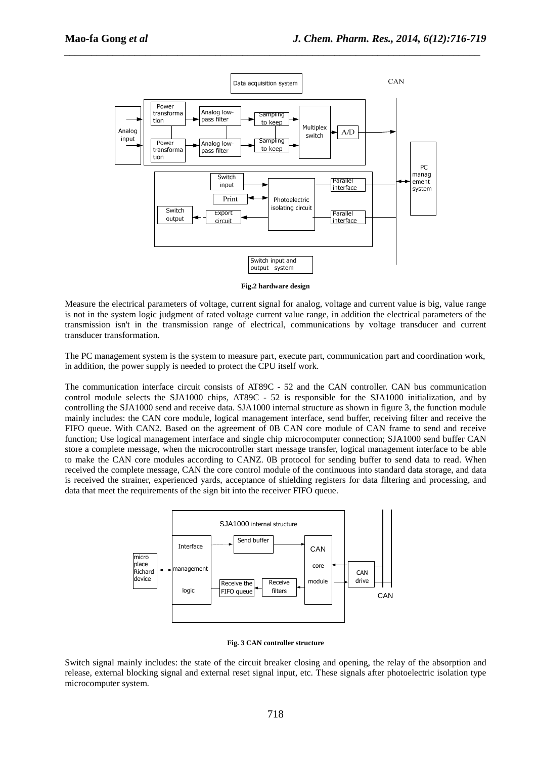

*\_\_\_\_\_\_\_\_\_\_\_\_\_\_\_\_\_\_\_\_\_\_\_\_\_\_\_\_\_\_\_\_\_\_\_\_\_\_\_\_\_\_\_\_\_\_\_\_\_\_\_\_\_\_\_\_\_\_\_\_\_\_\_\_\_\_\_\_\_\_\_\_\_\_\_\_\_*

**Fig.2 hardware design** 

Measure the electrical parameters of voltage, current signal for analog, voltage and current value is big, value range is not in the system logic judgment of rated voltage current value range, in addition the electrical parameters of the transmission isn't in the transmission range of electrical, communications by voltage transducer and current transducer transformation.

The PC management system is the system to measure part, execute part, communication part and coordination work, in addition, the power supply is needed to protect the CPU itself work.

The communication interface circuit consists of AT89C - 52 and the CAN controller. CAN bus communication control module selects the SJA1000 chips, AT89C - 52 is responsible for the SJA1000 initialization, and by controlling the SJA1000 send and receive data. SJA1000 internal structure as shown in figure 3, the function module mainly includes: the CAN core module, logical management interface, send buffer, receiving filter and receive the FIFO queue. With CAN2. Based on the agreement of 0B CAN core module of CAN frame to send and receive function; Use logical management interface and single chip microcomputer connection; SJA1000 send buffer CAN store a complete message, when the microcontroller start message transfer, logical management interface to be able to make the CAN core modules according to CANZ. 0B protocol for sending buffer to send data to read. When received the complete message, CAN the core control module of the continuous into standard data storage, and data is received the strainer, experienced yards, acceptance of shielding registers for data filtering and processing, and data that meet the requirements of the sign bit into the receiver FIFO queue.



**Fig. 3 CAN controller structure** 

Switch signal mainly includes: the state of the circuit breaker closing and opening, the relay of the absorption and release, external blocking signal and external reset signal input, etc. These signals after photoelectric isolation type microcomputer system.